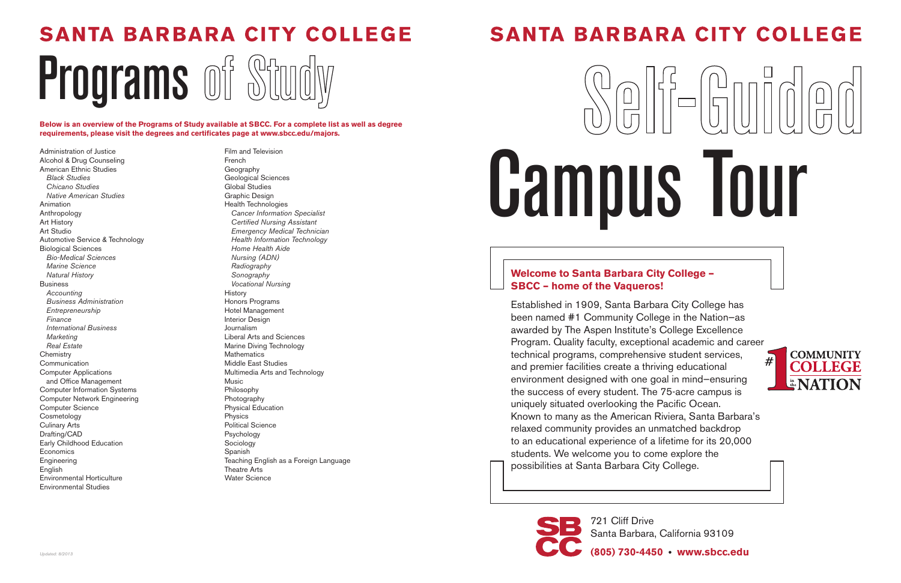# **SANTA BARBARA CITY COLLEGE**

Programs of Study

# Campus Tour

#### **Welcome to Santa Barbara City College – SBCC – home of the Vaqueros!**

Established in 1909, Santa Barbara City College has been named #1 Community College in the Nation—as awarded by The Aspen Institute's College Excellence Program. Quality faculty, exceptional academic and career technical programs, comprehensive student services, and premier facilities create a thriving educational environment designed with one goal in mind—ensuring the success of every student. The 75-acre campus is uniquely situated overlooking the Pacific Ocean. Known to many as the American Riviera, Santa Barbara's relaxed community provides an unmatched backdrop to an educational experience of a lifetime for its 20,000 students. We welcome you to come explore the possibilities at Santa Barbara City College.



Santa Barbara, California 93109

**(805) 730-4450 • www.sbcc.edu**

Administration of Justice Alcohol & Drug Counseling American Ethnic Studies *Black Studies Chicano Studies Native American Studies* Animation Anthropology Art History Art Studio Automotive Service & Technology Biological Sciences *Bio-Medical Sciences Marine Science Natural History* Business *Accounting Business Administration Entrepreneurship Finance International Business Marketing Real Estate* **Chemistry** Communication Computer Applications and Office Management Computer Information Systems Computer Network Engineering Computer Science Cosmetology Culinary Arts Drafting/CAD Early Childhood Education **Economics Engineering** English Environmental Horticulture Environmental Studies

Film and Television French Geography Geological Sciences Global Studies Graphic Design Health Technologies *Cancer Information Specialist Certified Nursing Assistant Emergency Medical Technician Health Information Technology Home Health Aide Nursing (ADN) Radiography Sonography Vocational Nursing* **History** Honors Programs Hotel Management Interior Design Journalism Liberal Arts and Sciences Marine Diving Technology Mathematics Middle East Studies Multimedia Arts and Technology Music Philosophy Photography Physical Education Physics Political Science Psychology **Sociology** Spanish Teaching English as a Foreign Language Theatre Arts Water Science

# **SANTA BARBARA CITY COLLEGE**

**Below is an overview of the Programs of Study available at SBCC. For a complete list as well as degree requirements, please visit the degrees and certificates page at www.sbcc.edu/majors.**